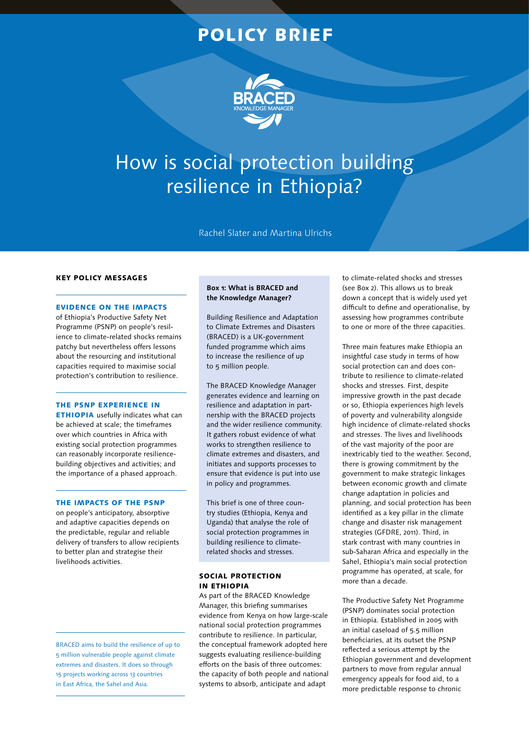# POLICY BRIEF



# How is social protection building resilience in Ethiopia?

Rachel Slater and Martina Ulrichs

### KEY POLICY MESSAGES

#### EVIDENCE ON THE IMPACTS

of Ethiopia's Productive Safety Net Programme (PSNP) on people's resilience to climate-related shocks remains patchy but nevertheless offers lessons about the resourcing and institutional capacities required to maximise social protection's contribution to resilience.

#### THE PSNP EXPERIENCE IN

ETHIOPIA usefully indicates what can be achieved at scale; the timeframes over which countries in Africa with existing social protection programmes can reasonably incorporate resiliencebuilding objectives and activities; and the importance of a phased approach.

#### THE IMPACTS OF THE PSNP

on people's anticipatory, absorptive and adaptive capacities depends on the predictable, regular and reliable delivery of transfers to allow recipients to better plan and strategise their livelihoods activities.

BRACED aims to build the resilience of up to 5 million vulnerable people against climate extremes and disasters. It does so through 15 projects working across 13 countries in East Africa, the Sahel and Asia.

# **Box 1: What is BRACED and the Knowledge Manager?**

Building Resilience and Adaptation to Climate Extremes and Disasters (BRACED) is a UK-government funded programme which aims to increase the resilience of up to 5 million people.

The BRACED Knowledge Manager generates evidence and learning on resilience and adaptation in partnership with the BRACED projects and the wider resilience community. It gathers robust evidence of what works to strengthen resilience to climate extremes and disasters, and initiates and supports processes to ensure that evidence is put into use in policy and programmes.

This brief is one of three country studies (Ethiopia, Kenya and Uganda) that analyse the role of social protection programmes in building resilience to climaterelated shocks and stresses.

#### SOCIAL PROTECTION IN ETHIOPIA

As part of the BRACED Knowledge Manager, this briefing summarises evidence from Kenya on how large-scale national social protection programmes contribute to resilience. In particular, the conceptual framework adopted here suggests evaluating resilience-building efforts on the basis of three outcomes: the capacity of both people and national systems to absorb, anticipate and adapt

to climate-related shocks and stresses (see Box 2). This allows us to break down a concept that is widely used yet difficult to define and operationalise, by assessing how programmes contribute to one or more of the three capacities.

Three main features make Ethiopia an insightful case study in terms of how social protection can and does contribute to resilience to climate-related shocks and stresses. First, despite impressive growth in the past decade or so, Ethiopia experiences high levels of poverty and vulnerability alongside high incidence of climate-related shocks and stresses. The lives and livelihoods of the vast majority of the poor are inextricably tied to the weather. Second, there is growing commitment by the government to make strategic linkages between economic growth and climate change adaptation in policies and planning, and social protection has been identified as a key pillar in the climate change and disaster risk management strategies (GFDRE, 2011). Third, in stark contrast with many countries in sub-Saharan Africa and especially in the Sahel, Ethiopia's main social protection programme has operated, at scale, for more than a decade.

The Productive Safety Net Programme (PSNP) dominates social protection in Ethiopia. Established in 2005 with an initial caseload of 5.5 million beneficiaries, at its outset the PSNP reflected a serious attempt by the Ethiopian government and development partners to move from regular annual emergency appeals for food aid, to a more predictable response to chronic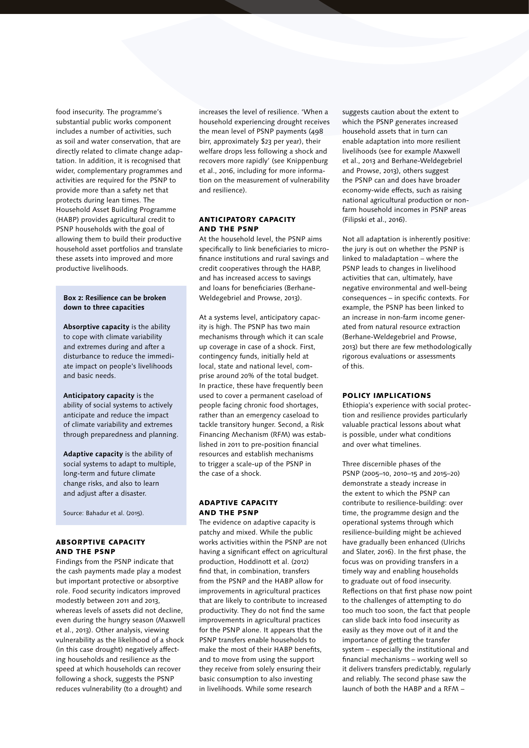food insecurity. The programme's substantial public works component includes a number of activities, such as soil and water conservation, that are directly related to climate change adaptation. In addition, it is recognised that wider, complementary programmes and activities are required for the PSNP to provide more than a safety net that protects during lean times. The Household Asset Building Programme (HABP) provides agricultural credit to PSNP households with the goal of allowing them to build their productive household asset portfolios and translate these assets into improved and more productive livelihoods.

### **Box 2: Resilience can be broken down to three capacities**

**Absorptive capacity** is the ability to cope with climate variability and extremes during and after a disturbance to reduce the immediate impact on people's livelihoods and basic needs.

**Anticipatory capacity** is the ability of social systems to actively anticipate and reduce the impact of climate variability and extremes through preparedness and planning.

**Adaptive capacity** is the ability of social systems to adapt to multiple, long-term and future climate change risks, and also to learn and adjust after a disaster.

Source: Bahadur et al. (2015).

# ABSORPTIVE CAPACITY AND THE PSNP

Findings from the PSNP indicate that the cash payments made play a modest but important protective or absorptive role. Food security indicators improved modestly between 2011 and 2013, whereas levels of assets did not decline, even during the hungry season (Maxwell et al., 2013). Other analysis, viewing vulnerability as the likelihood of a shock (in this case drought) negatively affecting households and resilience as the speed at which households can recover following a shock, suggests the PSNP reduces vulnerability (to a drought) and

increases the level of resilience. 'When a household experiencing drought receives the mean level of PSNP payments (498 birr, approximately \$23 per year), their welfare drops less following a shock and recovers more rapidly' (see Knippenburg et al., 2016, including for more information on the measurement of vulnerability and resilience).

# ANTICIPATORY CAPACITY AND THE PSNP

At the household level, the PSNP aims specifically to link beneficiaries to microfinance institutions and rural savings and credit cooperatives through the HABP, and has increased access to savings and loans for beneficiaries (Berhane-Weldegebriel and Prowse, 2013).

At a systems level, anticipatory capacity is high. The PSNP has two main mechanisms through which it can scale up coverage in case of a shock. First, contingency funds, initially held at local, state and national level, comprise around 20% of the total budget. In practice, these have frequently been used to cover a permanent caseload of people facing chronic food shortages, rather than an emergency caseload to tackle transitory hunger. Second, a Risk Financing Mechanism (RFM) was established in 2011 to pre-position financial resources and establish mechanisms to trigger a scale-up of the PSNP in the case of a shock.

# ADAPTIVE CAPACITY AND THE PSNP

The evidence on adaptive capacity is patchy and mixed. While the public works activities within the PSNP are not having a significant effect on agricultural production, Hoddinott et al. (2012) find that, in combination, transfers from the PSNP and the HABP allow for improvements in agricultural practices that are likely to contribute to increased productivity. They do not find the same improvements in agricultural practices for the PSNP alone. It appears that the PSNP transfers enable households to make the most of their HABP benefits, and to move from using the support they receive from solely ensuring their basic consumption to also investing in livelihoods. While some research

suggests caution about the extent to which the PSNP generates increased household assets that in turn can enable adaptation into more resilient livelihoods (see for example Maxwell et al., 2013 and Berhane-Weldegebriel and Prowse, 2013), others suggest the PSNP can and does have broader economy-wide effects, such as raising national agricultural production or nonfarm household incomes in PSNP areas (Filipski et al., 2016).

Not all adaptation is inherently positive: the jury is out on whether the PSNP is linked to maladaptation – where the PSNP leads to changes in livelihood activities that can, ultimately, have negative environmental and well-being consequences – in specific contexts. For example, the PSNP has been linked to an increase in non-farm income generated from natural resource extraction (Berhane-Weldegebriel and Prowse, 2013) but there are few methodologically rigorous evaluations or assessments of this.

#### POLICY IMPLICATIONS

Ethiopia's experience with social protection and resilience provides particularly valuable practical lessons about what is possible, under what conditions and over what timelines.

Three discernible phases of the PSNP (2005–10, 2010–15 and 2015–20) demonstrate a steady increase in the extent to which the PSNP can contribute to resilience-building: over time, the programme design and the operational systems through which resilience-building might be achieved have gradually been enhanced (Ulrichs and Slater, 2016). In the first phase, the focus was on providing transfers in a timely way and enabling households to graduate out of food insecurity. Reflections on that first phase now point to the challenges of attempting to do too much too soon, the fact that people can slide back into food insecurity as easily as they move out of it and the importance of getting the transfer system – especially the institutional and financial mechanisms – working well so it delivers transfers predictably, regularly and reliably. The second phase saw the launch of both the HABP and a RFM –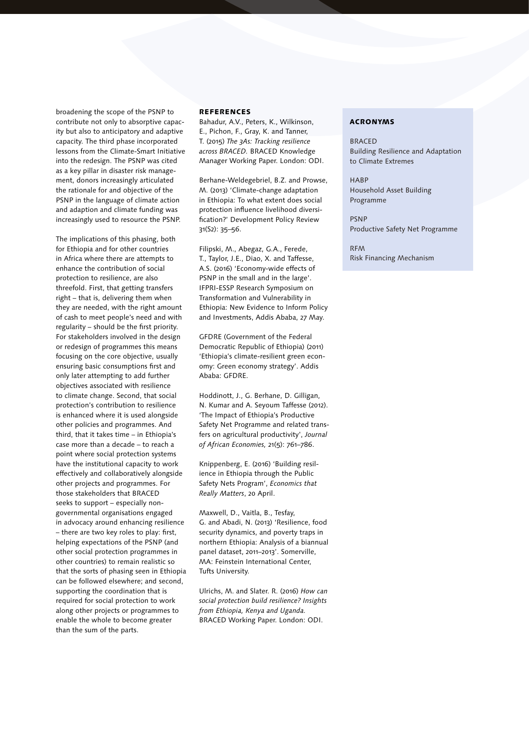broadening the scope of the PSNP to contribute not only to absorptive capacity but also to anticipatory and adaptive capacity. The third phase incorporated lessons from the Climate-Smart Initiative into the redesign. The PSNP was cited as a key pillar in disaster risk management, donors increasingly articulated the rationale for and objective of the PSNP in the language of climate action and adaption and climate funding was increasingly used to resource the PSNP.

The implications of this phasing, both for Ethiopia and for other countries in Africa where there are attempts to enhance the contribution of social protection to resilience, are also threefold. First, that getting transfers right – that is, delivering them when they are needed, with the right amount of cash to meet people's need and with regularity – should be the first priority. For stakeholders involved in the design or redesign of programmes this means focusing on the core objective, usually ensuring basic consumptions first and only later attempting to add further objectives associated with resilience to climate change. Second, that social protection's contribution to resilience is enhanced where it is used alongside other policies and programmes. And third, that it takes time – in Ethiopia's case more than a decade – to reach a point where social protection systems have the institutional capacity to work effectively and collaboratively alongside other projects and programmes. For those stakeholders that BRACED seeks to support – especially nongovernmental organisations engaged in advocacy around enhancing resilience – there are two key roles to play: first, helping expectations of the PSNP (and other social protection programmes in other countries) to remain realistic so that the sorts of phasing seen in Ethiopia can be followed elsewhere; and second, supporting the coordination that is required for social protection to work along other projects or programmes to enable the whole to become greater than the sum of the parts.

#### **REFERENCES**

Bahadur, A.V., Peters, K., Wilkinson, E., Pichon, F., Gray, K. and Tanner, T. (2015) *The 3As: Tracking resilience across BRACED.* BRACED Knowledge Manager Working Paper. London: ODI.

Berhane-Weldegebriel, B.Z. and Prowse, M. (2013) 'Climate-change adaptation in Ethiopia: To what extent does social protection influence livelihood diversification?' Development Policy Review 31(S2): 35–56.

Filipski, M., Abegaz, G.A., Ferede, T., Taylor, J.E., Diao, X. and Taffesse, A.S. (2016) 'Economy-wide effects of PSNP in the small and in the large'. IFPRI-ESSP Research Symposium on Transformation and Vulnerability in Ethiopia: New Evidence to Inform Policy and Investments, Addis Ababa, 27 May.

GFDRE (Government of the Federal Democratic Republic of Ethiopia) (2011) 'Ethiopia's climate-resilient green economy: Green economy strategy'. Addis Ababa: GFDRE.

Hoddinott, J., G. Berhane, D. Gilligan, N. Kumar and A. Seyoum Taffesse (2012). 'The Impact of Ethiopia's Productive Safety Net Programme and related transfers on agricultural productivity', *Journal of African Economies,* 21(5): 761–786.

Knippenberg, E. (2016) 'Building resilience in Ethiopia through the Public Safety Nets Program', *Economics that Really Matters*, 20 April.

Maxwell, D., Vaitla, B., Tesfay, G. and Abadi, N. (2013) 'Resilience, food security dynamics, and poverty traps in northern Ethiopia: Analysis of a biannual panel dataset, 2011–2013'. Somerville, MA: Feinstein International Center, Tufts University.

Ulrichs, M. and Slater. R. (2016) *How can social protection build resilience? Insights from Ethiopia, Kenya and Uganda.* BRACED Working Paper. London: ODI.

#### ACRONYMS

**BRACED** Building Resilience and Adaptation to Climate Extremes

**HABP** Household Asset Building Programme

PSNP Productive Safety Net Programme

RFM Risk Financing Mechanism